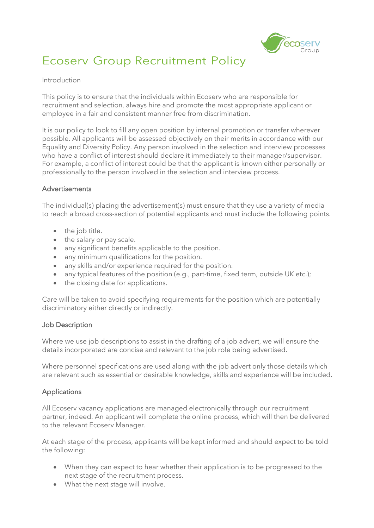

# Ecoserv Group Recruitment Policy

#### Introduction

This policy is to ensure that the individuals within Ecoserv who are responsible for recruitment and selection, always hire and promote the most appropriate applicant or employee in a fair and consistent manner free from discrimination.

It is our policy to look to fill any open position by internal promotion or transfer wherever possible. All applicants will be assessed objectively on their merits in accordance with our Equality and Diversity Policy. Any person involved in the selection and interview processes who have a conflict of interest should declare it immediately to their manager/supervisor. For example, a conflict of interest could be that the applicant is known either personally or professionally to the person involved in the selection and interview process.

# Advertisements

The individual(s) placing the advertisement(s) must ensure that they use a variety of media to reach a broad cross-section of potential applicants and must include the following points.

- the job title.
- the salary or pay scale.
- any significant benefits applicable to the position.
- any minimum qualifications for the position.
- any skills and/or experience required for the position.
- any typical features of the position (e.g., part-time, fixed term, outside UK etc.);
- the closing date for applications.

Care will be taken to avoid specifying requirements for the position which are potentially discriminatory either directly or indirectly.

#### Job Description

Where we use job descriptions to assist in the drafting of a job advert, we will ensure the details incorporated are concise and relevant to the job role being advertised.

Where personnel specifications are used along with the job advert only those details which are relevant such as essential or desirable knowledge, skills and experience will be included.

# Applications

All Ecoserv vacancy applications are managed electronically through our recruitment partner, indeed. An applicant will complete the online process, which will then be delivered to the relevant Ecoserv Manager.

At each stage of the process, applicants will be kept informed and should expect to be told the following:

- When they can expect to hear whether their application is to be progressed to the next stage of the recruitment process.
- What the next stage will involve.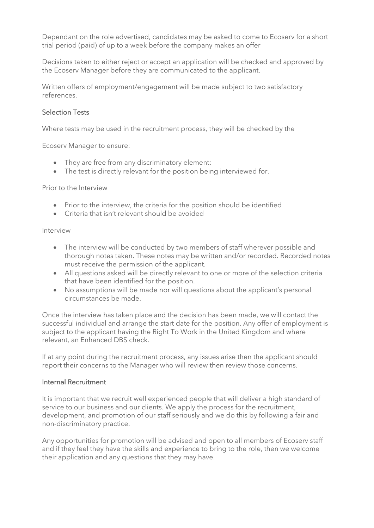Dependant on the role advertised, candidates may be asked to come to Ecoserv for a short trial period (paid) of up to a week before the company makes an offer

Decisions taken to either reject or accept an application will be checked and approved by the Ecoserv Manager before they are communicated to the applicant.

Written offers of employment/engagement will be made subject to two satisfactory references.

# Selection Tests

Where tests may be used in the recruitment process, they will be checked by the

Ecoserv Manager to ensure:

- They are free from any discriminatory element:
- The test is directly relevant for the position being interviewed for.

Prior to the Interview

- Prior to the interview, the criteria for the position should be identified
- Criteria that isn't relevant should be avoided

Interview

- The interview will be conducted by two members of staff wherever possible and thorough notes taken. These notes may be written and/or recorded. Recorded notes must receive the permission of the applicant.
- All questions asked will be directly relevant to one or more of the selection criteria that have been identified for the position.
- No assumptions will be made nor will questions about the applicant's personal circumstances be made.

Once the interview has taken place and the decision has been made, we will contact the successful individual and arrange the start date for the position. Any offer of employment is subject to the applicant having the Right To Work in the United Kingdom and where relevant, an Enhanced DBS check.

If at any point during the recruitment process, any issues arise then the applicant should report their concerns to the Manager who will review then review those concerns.

### Internal Recruitment

It is important that we recruit well experienced people that will deliver a high standard of service to our business and our clients. We apply the process for the recruitment, development, and promotion of our staff seriously and we do this by following a fair and non-discriminatory practice.

Any opportunities for promotion will be advised and open to all members of Ecoserv staff and if they feel they have the skills and experience to bring to the role, then we welcome their application and any questions that they may have.